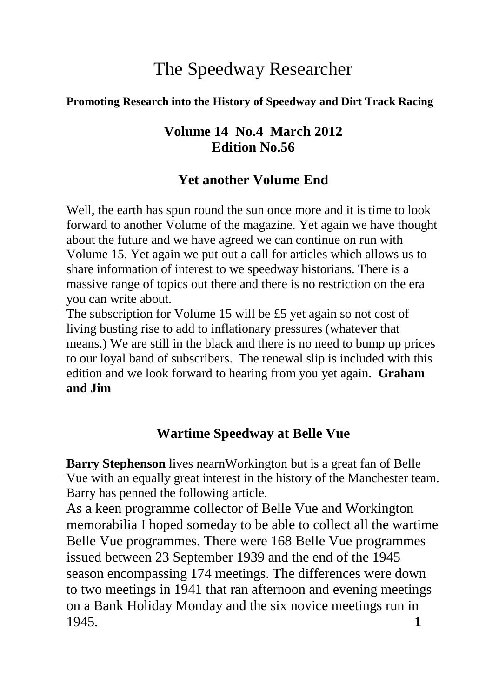# The Speedway Researcher

#### **Promoting Research into the History of Speedway and Dirt Track Racing**

### **Volume 14 No.4 March 2012 Edition No.56**

### **Yet another Volume End**

Well, the earth has spun round the sun once more and it is time to look forward to another Volume of the magazine. Yet again we have thought about the future and we have agreed we can continue on run with Volume 15. Yet again we put out a call for articles which allows us to share information of interest to we speedway historians. There is a massive range of topics out there and there is no restriction on the era you can write about.

The subscription for Volume 15 will be £5 yet again so not cost of living busting rise to add to inflationary pressures (whatever that means.) We are still in the black and there is no need to bump up prices to our loyal band of subscribers. The renewal slip is included with this edition and we look forward to hearing from you yet again. **Graham and Jim**

## **Wartime Speedway at Belle Vue**

**Barry Stephenson** lives nearnWorkington but is a great fan of Belle Vue with an equally great interest in the history of the Manchester team. Barry has penned the following article.

As a keen programme collector of Belle Vue and Workington memorabilia I hoped someday to be able to collect all the wartime Belle Vue programmes. There were 168 Belle Vue programmes issued between 23 September 1939 and the end of the 1945 season encompassing 174 meetings. The differences were down to two meetings in 1941 that ran afternoon and evening meetings on a Bank Holiday Monday and the six novice meetings run in 1945. **1**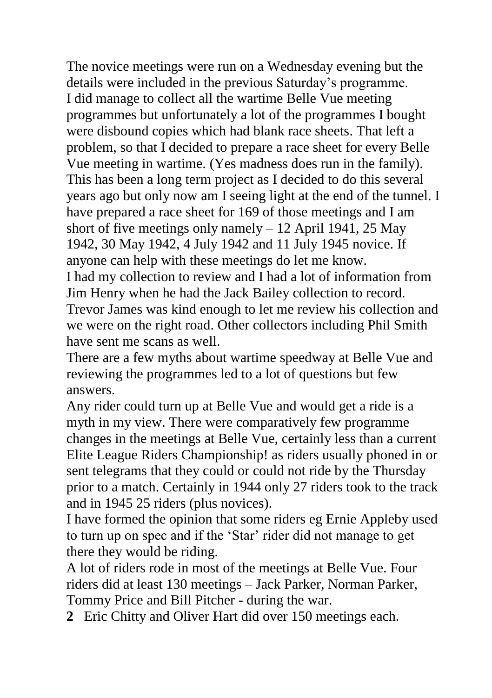The novice meetings were run on a Wednesday evening but the details were included in the previous Saturday's programme. I did manage to collect all the wartime Belle Vue meeting programmes but unfortunately a lot of the programmes I bought were disbound copies which had blank race sheets. That left a problem, so that I decided to prepare a race sheet for every Belle Vue meeting in wartime. (Yes madness does run in the family). This has been a long term project as I decided to do this several years ago but only now am I seeing light at the end of the tunnel. I have prepared a race sheet for 169 of those meetings and I am short of five meetings only namely  $-12$  April 1941, 25 May 1942, 30 May 1942, 4 July 1942 and 11 July 1945 novice. If anyone can help with these meetings do let me know.

I had my collection to review and I had a lot of information from Jim Henry when he had the Jack Bailey collection to record. Trevor James was kind enough to let me review his collection and we were on the right road. Other collectors including Phil Smith have sent me scans as well.

There are a few myths about wartime speedway at Belle Vue and reviewing the programmes led to a lot of questions but few answers.

Any rider could turn up at Belle Vue and would get a ride is a myth in my view. There were comparatively few programme changes in the meetings at Belle Vue, certainly less than a current Elite League Riders Championship! as riders usually phoned in or sent telegrams that they could or could not ride by the Thursday prior to a match. Certainly in 1944 only 27 riders took to the track and in 1945 25 riders (plus novices).

I have formed the opinion that some riders eg Ernie Appleby used to turn up on spec and if the 'Star' rider did not manage to get there they would be riding.

A lot of riders rode in most of the meetings at Belle Vue. Four riders did at least 130 meetings – Jack Parker, Norman Parker, Tommy Price and Bill Pitcher - during the war.

**2** Eric Chitty and Oliver Hart did over 150 meetings each.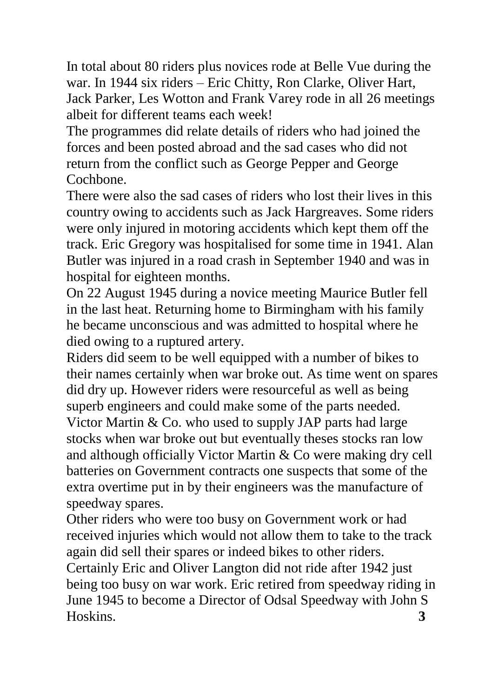In total about 80 riders plus novices rode at Belle Vue during the war. In 1944 six riders – Eric Chitty, Ron Clarke, Oliver Hart, Jack Parker, Les Wotton and Frank Varey rode in all 26 meetings albeit for different teams each week!

The programmes did relate details of riders who had joined the forces and been posted abroad and the sad cases who did not return from the conflict such as George Pepper and George Cochbone.

There were also the sad cases of riders who lost their lives in this country owing to accidents such as Jack Hargreaves. Some riders were only injured in motoring accidents which kept them off the track. Eric Gregory was hospitalised for some time in 1941. Alan Butler was injured in a road crash in September 1940 and was in hospital for eighteen months.

On 22 August 1945 during a novice meeting Maurice Butler fell in the last heat. Returning home to Birmingham with his family he became unconscious and was admitted to hospital where he died owing to a ruptured artery.

Riders did seem to be well equipped with a number of bikes to their names certainly when war broke out. As time went on spares did dry up. However riders were resourceful as well as being superb engineers and could make some of the parts needed. Victor Martin & Co. who used to supply JAP parts had large stocks when war broke out but eventually theses stocks ran low and although officially Victor Martin & Co were making dry cell batteries on Government contracts one suspects that some of the extra overtime put in by their engineers was the manufacture of speedway spares.

Other riders who were too busy on Government work or had received injuries which would not allow them to take to the track again did sell their spares or indeed bikes to other riders. Certainly Eric and Oliver Langton did not ride after 1942 just being too busy on war work. Eric retired from speedway riding in June 1945 to become a Director of Odsal Speedway with John S Hoskins. **3**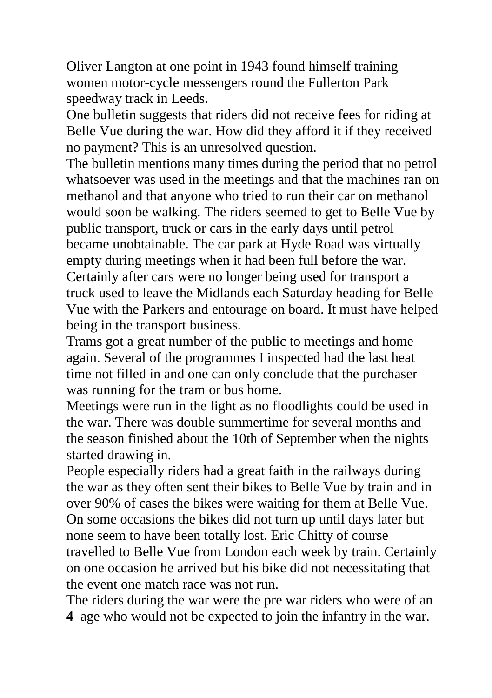Oliver Langton at one point in 1943 found himself training women motor-cycle messengers round the Fullerton Park speedway track in Leeds.

One bulletin suggests that riders did not receive fees for riding at Belle Vue during the war. How did they afford it if they received no payment? This is an unresolved question.

The bulletin mentions many times during the period that no petrol whatsoever was used in the meetings and that the machines ran on methanol and that anyone who tried to run their car on methanol would soon be walking. The riders seemed to get to Belle Vue by public transport, truck or cars in the early days until petrol became unobtainable. The car park at Hyde Road was virtually empty during meetings when it had been full before the war. Certainly after cars were no longer being used for transport a truck used to leave the Midlands each Saturday heading for Belle Vue with the Parkers and entourage on board. It must have helped being in the transport business.

Trams got a great number of the public to meetings and home again. Several of the programmes I inspected had the last heat time not filled in and one can only conclude that the purchaser was running for the tram or bus home.

Meetings were run in the light as no floodlights could be used in the war. There was double summertime for several months and the season finished about the 10th of September when the nights started drawing in.

People especially riders had a great faith in the railways during the war as they often sent their bikes to Belle Vue by train and in over 90% of cases the bikes were waiting for them at Belle Vue. On some occasions the bikes did not turn up until days later but none seem to have been totally lost. Eric Chitty of course travelled to Belle Vue from London each week by train. Certainly on one occasion he arrived but his bike did not necessitating that the event one match race was not run.

The riders during the war were the pre war riders who were of an **4** age who would not be expected to join the infantry in the war.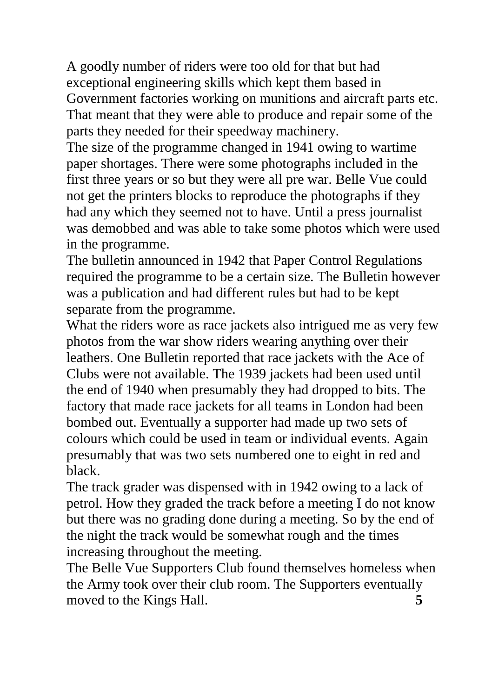A goodly number of riders were too old for that but had exceptional engineering skills which kept them based in Government factories working on munitions and aircraft parts etc. That meant that they were able to produce and repair some of the parts they needed for their speedway machinery.

The size of the programme changed in 1941 owing to wartime paper shortages. There were some photographs included in the first three years or so but they were all pre war. Belle Vue could not get the printers blocks to reproduce the photographs if they had any which they seemed not to have. Until a press journalist was demobbed and was able to take some photos which were used in the programme.

The bulletin announced in 1942 that Paper Control Regulations required the programme to be a certain size. The Bulletin however was a publication and had different rules but had to be kept separate from the programme.

What the riders wore as race jackets also intrigued me as very few photos from the war show riders wearing anything over their leathers. One Bulletin reported that race jackets with the Ace of Clubs were not available. The 1939 jackets had been used until the end of 1940 when presumably they had dropped to bits. The factory that made race jackets for all teams in London had been bombed out. Eventually a supporter had made up two sets of colours which could be used in team or individual events. Again presumably that was two sets numbered one to eight in red and black.

The track grader was dispensed with in 1942 owing to a lack of petrol. How they graded the track before a meeting I do not know but there was no grading done during a meeting. So by the end of the night the track would be somewhat rough and the times increasing throughout the meeting.

The Belle Vue Supporters Club found themselves homeless when the Army took over their club room. The Supporters eventually moved to the Kings Hall. **5**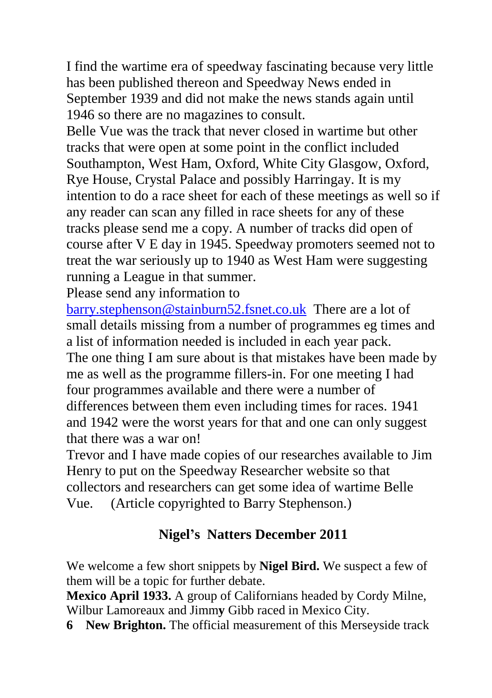I find the wartime era of speedway fascinating because very little has been published thereon and Speedway News ended in September 1939 and did not make the news stands again until 1946 so there are no magazines to consult.

Belle Vue was the track that never closed in wartime but other tracks that were open at some point in the conflict included Southampton, West Ham, Oxford, White City Glasgow, Oxford, Rye House, Crystal Palace and possibly Harringay. It is my intention to do a race sheet for each of these meetings as well so if any reader can scan any filled in race sheets for any of these tracks please send me a copy. A number of tracks did open of course after V E day in 1945. Speedway promoters seemed not to treat the war seriously up to 1940 as West Ham were suggesting running a League in that summer.

Please send any information to

[barry.stephenson@stainburn52.fsnet.co.uk](mailto:barry.stephenson@stainburn52.fsnet.co.uk) There are a lot of small details missing from a number of programmes eg times and a list of information needed is included in each year pack. The one thing I am sure about is that mistakes have been made by me as well as the programme fillers-in. For one meeting I had four programmes available and there were a number of differences between them even including times for races. 1941 and 1942 were the worst years for that and one can only suggest that there was a war on!

Trevor and I have made copies of our researches available to Jim Henry to put on the Speedway Researcher website so that collectors and researchers can get some idea of wartime Belle Vue. (Article copyrighted to Barry Stephenson.)

# **Nigel's Natters December 2011**

We welcome a few short snippets by **Nigel Bird.** We suspect a few of them will be a topic for further debate.

**Mexico April 1933.** A group of Californians headed by Cordy Milne, Wilbur Lamoreaux and Jimm**y** Gibb raced in Mexico City.

**6 New Brighton.** The official measurement of this Merseyside track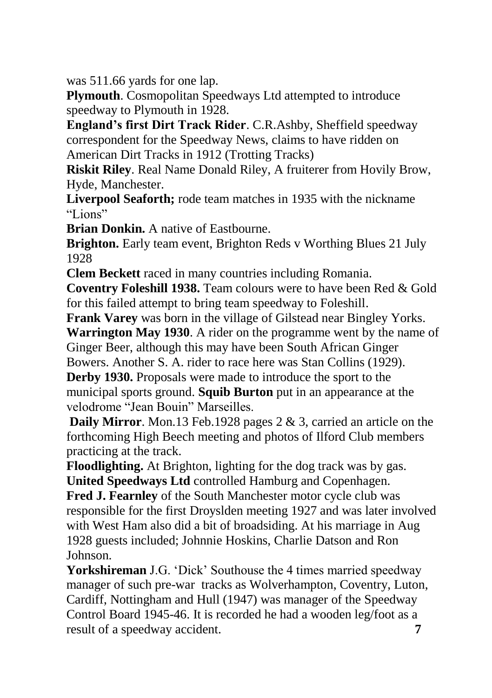was 511.66 yards for one lap.

**Plymouth**. Cosmopolitan Speedways Ltd attempted to introduce speedway to Plymouth in 1928.

**England's first Dirt Track Rider**. C.R.Ashby, Sheffield speedway correspondent for the Speedway News, claims to have ridden on American Dirt Tracks in 1912 (Trotting Tracks)

**Riskit Riley**. Real Name Donald Riley, A fruiterer from Hovily Brow, Hyde, Manchester.

**Liverpool Seaforth;** rode team matches in 1935 with the nickname "Lions"

**Brian Donkin.** A native of Eastbourne.

**Brighton.** Early team event, Brighton Reds v Worthing Blues 21 July 1928

**Clem Beckett** raced in many countries including Romania.

**Coventry Foleshill 1938.** Team colours were to have been Red & Gold for this failed attempt to bring team speedway to Foleshill.

**Frank Varey** was born in the village of Gilstead near Bingley Yorks. **Warrington May 1930**. A rider on the programme went by the name of Ginger Beer, although this may have been South African Ginger

Bowers. Another S. A. rider to race here was Stan Collins (1929).

**Derby 1930.** Proposals were made to introduce the sport to the municipal sports ground. **Squib Burton** put in an appearance at the velodrome "Jean Bouin" Marseilles.

**Daily Mirror**. Mon.13 Feb.1928 pages 2 & 3, carried an article on the forthcoming High Beech meeting and photos of Ilford Club members practicing at the track.

**Floodlighting.** At Brighton, lighting for the dog track was by gas. **United Speedways Ltd** controlled Hamburg and Copenhagen.

**Fred J. Fearnley** of the South Manchester motor cycle club was responsible for the first Droyslden meeting 1927 and was later involved with West Ham also did a bit of broadsiding. At his marriage in Aug 1928 guests included; Johnnie Hoskins, Charlie Datson and Ron Johnson.

**Yorkshireman** J.G. 'Dick' Southouse the 4 times married speedway manager of such pre-war tracks as Wolverhampton, Coventry, Luton, Cardiff, Nottingham and Hull (1947) was manager of the Speedway Control Board 1945-46. It is recorded he had a wooden leg/foot as a result of a speedway accident. **7**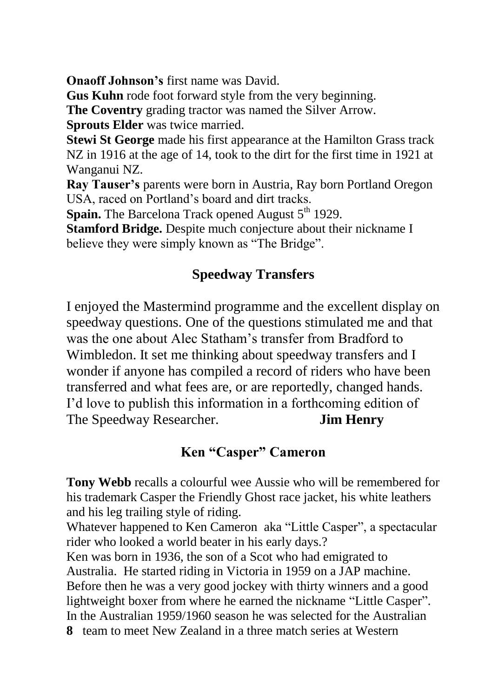**Onaoff Johnson's** first name was David.

**Gus Kuhn** rode foot forward style from the very beginning.

**The Coventry** grading tractor was named the Silver Arrow.

**Sprouts Elder** was twice married.

**Stewi St George** made his first appearance at the Hamilton Grass track NZ in 1916 at the age of 14, took to the dirt for the first time in 1921 at Wanganui NZ.

**Ray Tauser's** parents were born in Austria, Ray born Portland Oregon USA, raced on Portland's board and dirt tracks.

**Spain.** The Barcelona Track opened August 5<sup>th</sup> 1929.

**Stamford Bridge.** Despite much conjecture about their nickname I believe they were simply known as "The Bridge".

### **Speedway Transfers**

I enjoyed the Mastermind programme and the excellent display on speedway questions. One of the questions stimulated me and that was the one about Alec Statham's transfer from Bradford to Wimbledon. It set me thinking about speedway transfers and I wonder if anyone has compiled a record of riders who have been transferred and what fees are, or are reportedly, changed hands. I'd love to publish this information in a forthcoming edition of The Speedway Researcher. **Jim Henry**

### **Ken "Casper" Cameron**

**Tony Webb** recalls a colourful wee Aussie who will be remembered for his trademark Casper the Friendly Ghost race jacket, his white leathers and his leg trailing style of riding.

Whatever happened to Ken Cameron aka "Little Casper", a spectacular rider who looked a world beater in his early days.?

Ken was born in 1936, the son of a Scot who had emigrated to Australia. He started riding in Victoria in 1959 on a JAP machine. Before then he was a very good jockey with thirty winners and a good lightweight boxer from where he earned the nickname "Little Casper". In the Australian 1959/1960 season he was selected for the Australian

**8** team to meet New Zealand in a three match series at Western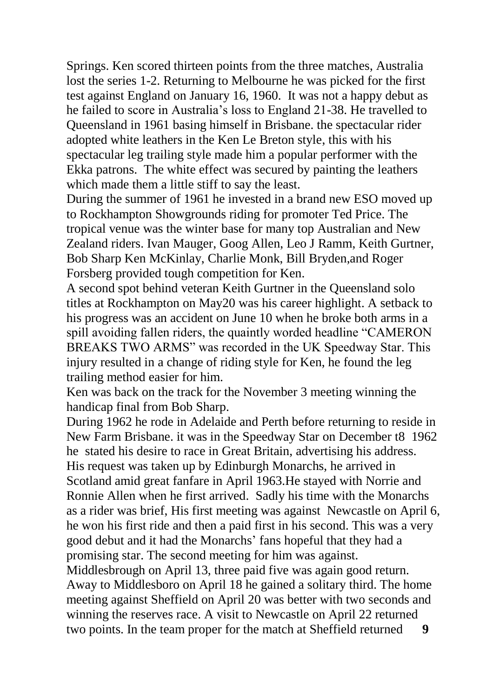Springs. Ken scored thirteen points from the three matches, Australia lost the series 1-2. Returning to Melbourne he was picked for the first test against England on January 16, 1960. It was not a happy debut as he failed to score in Australia's loss to England 21-38. He travelled to Queensland in 1961 basing himself in Brisbane. the spectacular rider adopted white leathers in the Ken Le Breton style, this with his spectacular leg trailing style made him a popular performer with the Ekka patrons. The white effect was secured by painting the leathers which made them a little stiff to say the least.

During the summer of 1961 he invested in a brand new ESO moved up to Rockhampton Showgrounds riding for promoter Ted Price. The tropical venue was the winter base for many top Australian and New Zealand riders. Ivan Mauger, Goog Allen, Leo J Ramm, Keith Gurtner, Bob Sharp Ken McKinlay, Charlie Monk, Bill Bryden,and Roger Forsberg provided tough competition for Ken.

A second spot behind veteran Keith Gurtner in the Queensland solo titles at Rockhampton on May20 was his career highlight. A setback to his progress was an accident on June 10 when he broke both arms in a spill avoiding fallen riders, the quaintly worded headline "CAMERON BREAKS TWO ARMS" was recorded in the UK Speedway Star. This injury resulted in a change of riding style for Ken, he found the leg trailing method easier for him.

Ken was back on the track for the November 3 meeting winning the handicap final from Bob Sharp.

During 1962 he rode in Adelaide and Perth before returning to reside in New Farm Brisbane. it was in the Speedway Star on December t8 1962 he stated his desire to race in Great Britain, advertising his address. His request was taken up by Edinburgh Monarchs, he arrived in Scotland amid great fanfare in April 1963.He stayed with Norrie and Ronnie Allen when he first arrived. Sadly his time with the Monarchs as a rider was brief, His first meeting was against Newcastle on April 6, he won his first ride and then a paid first in his second. This was a very good debut and it had the Monarchs' fans hopeful that they had a promising star. The second meeting for him was against.

Middlesbrough on April 13, three paid five was again good return. Away to Middlesboro on April 18 he gained a solitary third. The home meeting against Sheffield on April 20 was better with two seconds and winning the reserves race. A visit to Newcastle on April 22 returned two points. In the team proper for the match at Sheffield returned **9**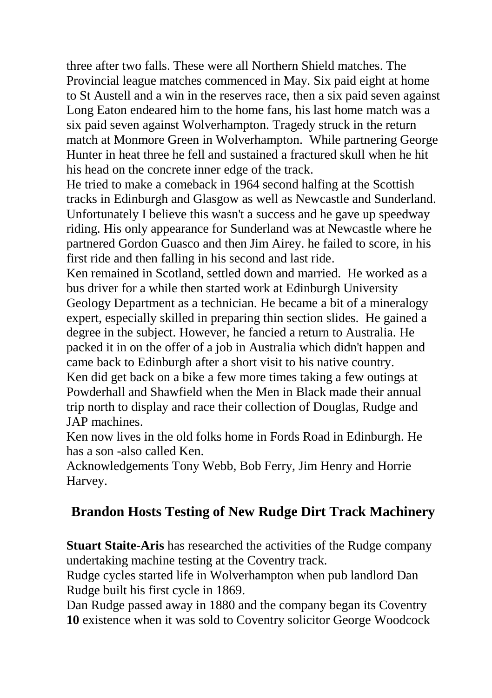three after two falls. These were all Northern Shield matches. The Provincial league matches commenced in May. Six paid eight at home to St Austell and a win in the reserves race, then a six paid seven against Long Eaton endeared him to the home fans, his last home match was a six paid seven against Wolverhampton. Tragedy struck in the return match at Monmore Green in Wolverhampton. While partnering George Hunter in heat three he fell and sustained a fractured skull when he hit his head on the concrete inner edge of the track.

He tried to make a comeback in 1964 second halfing at the Scottish tracks in Edinburgh and Glasgow as well as Newcastle and Sunderland. Unfortunately I believe this wasn't a success and he gave up speedway riding. His only appearance for Sunderland was at Newcastle where he partnered Gordon Guasco and then Jim Airey. he failed to score, in his first ride and then falling in his second and last ride.

Ken remained in Scotland, settled down and married. He worked as a bus driver for a while then started work at Edinburgh University Geology Department as a technician. He became a bit of a mineralogy expert, especially skilled in preparing thin section slides. He gained a degree in the subject. However, he fancied a return to Australia. He packed it in on the offer of a job in Australia which didn't happen and came back to Edinburgh after a short visit to his native country.

Ken did get back on a bike a few more times taking a few outings at Powderhall and Shawfield when the Men in Black made their annual trip north to display and race their collection of Douglas, Rudge and JAP machines.

Ken now lives in the old folks home in Fords Road in Edinburgh. He has a son -also called Ken.

Acknowledgements Tony Webb, Bob Ferry, Jim Henry and Horrie Harvey.

# **Brandon Hosts Testing of New Rudge Dirt Track Machinery**

**Stuart Staite-Aris** has researched the activities of the Rudge company undertaking machine testing at the Coventry track.

Rudge cycles started life in Wolverhampton when pub landlord Dan Rudge built his first cycle in 1869.

Dan Rudge passed away in 1880 and the company began its Coventry **10** existence when it was sold to Coventry solicitor George Woodcock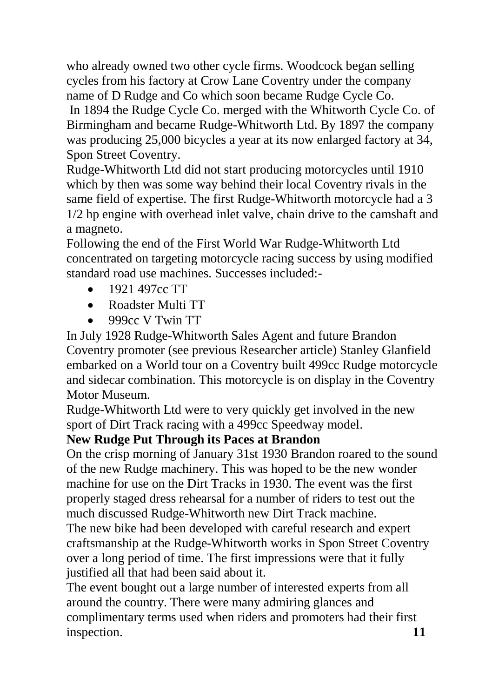who already owned two other cycle firms. Woodcock began selling cycles from his factory at Crow Lane Coventry under the company name of D Rudge and Co which soon became Rudge Cycle Co.

In 1894 the Rudge Cycle Co. merged with the Whitworth Cycle Co. of Birmingham and became Rudge-Whitworth Ltd. By 1897 the company was producing 25,000 bicycles a year at its now enlarged factory at 34, Spon Street Coventry.

Rudge-Whitworth Ltd did not start producing motorcycles until 1910 which by then was some way behind their local Coventry rivals in the same field of expertise. The first Rudge-Whitworth motorcycle had a 3 1/2 hp engine with overhead inlet valve, chain drive to the camshaft and a magneto.

Following the end of the First World War Rudge-Whitworth Ltd concentrated on targeting motorcycle racing success by using modified standard road use machines. Successes included:-

- 1921 497cc TT
- Roadster Multi TT
- $\bullet$  999cc V Twin TT

In July 1928 Rudge-Whitworth Sales Agent and future Brandon Coventry promoter (see previous Researcher article) Stanley Glanfield embarked on a World tour on a Coventry built 499cc Rudge motorcycle and sidecar combination. This motorcycle is on display in the Coventry Motor Museum.

Rudge-Whitworth Ltd were to very quickly get involved in the new sport of Dirt Track racing with a 499cc Speedway model.

### **New Rudge Put Through its Paces at Brandon**

On the crisp morning of January 31st 1930 Brandon roared to the sound of the new Rudge machinery. This was hoped to be the new wonder machine for use on the Dirt Tracks in 1930. The event was the first properly staged dress rehearsal for a number of riders to test out the much discussed Rudge-Whitworth new Dirt Track machine.

The new bike had been developed with careful research and expert craftsmanship at the Rudge-Whitworth works in Spon Street Coventry over a long period of time. The first impressions were that it fully justified all that had been said about it.

The event bought out a large number of interested experts from all around the country. There were many admiring glances and complimentary terms used when riders and promoters had their first inspection. **11**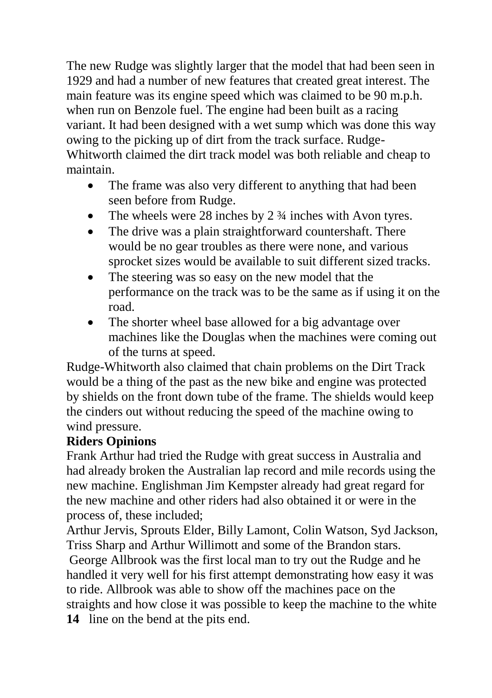The new Rudge was slightly larger that the model that had been seen in 1929 and had a number of new features that created great interest. The main feature was its engine speed which was claimed to be 90 m.p.h. when run on Benzole fuel. The engine had been built as a racing variant. It had been designed with a wet sump which was done this way owing to the picking up of dirt from the track surface. Rudge-Whitworth claimed the dirt track model was both reliable and cheap to maintain.

- The frame was also very different to anything that had been seen before from Rudge.
- The wheels were 28 inches by 2  $\frac{3}{4}$  inches with Avon tyres.
- The drive was a plain straightforward countershaft. There would be no gear troubles as there were none, and various sprocket sizes would be available to suit different sized tracks.
- The steering was so easy on the new model that the performance on the track was to be the same as if using it on the road.
- The shorter wheel base allowed for a big advantage over machines like the Douglas when the machines were coming out of the turns at speed.

Rudge-Whitworth also claimed that chain problems on the Dirt Track would be a thing of the past as the new bike and engine was protected by shields on the front down tube of the frame. The shields would keep the cinders out without reducing the speed of the machine owing to wind pressure.

### **Riders Opinions**

Frank Arthur had tried the Rudge with great success in Australia and had already broken the Australian lap record and mile records using the new machine. Englishman Jim Kempster already had great regard for the new machine and other riders had also obtained it or were in the process of, these included;

Arthur Jervis, Sprouts Elder, Billy Lamont, Colin Watson, Syd Jackson, Triss Sharp and Arthur Willimott and some of the Brandon stars.

George Allbrook was the first local man to try out the Rudge and he handled it very well for his first attempt demonstrating how easy it was to ride. Allbrook was able to show off the machines pace on the straights and how close it was possible to keep the machine to the white **14** line on the bend at the pits end.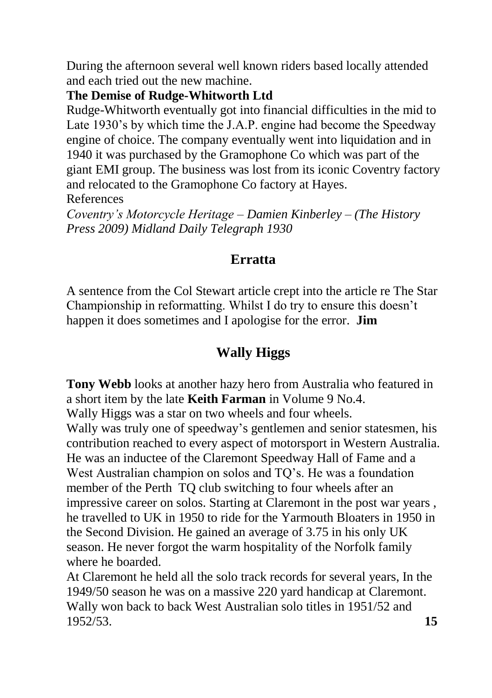During the afternoon several well known riders based locally attended and each tried out the new machine.

#### **The Demise of Rudge-Whitworth Ltd**

Rudge-Whitworth eventually got into financial difficulties in the mid to Late 1930's by which time the J.A.P. engine had become the Speedway engine of choice. The company eventually went into liquidation and in 1940 it was purchased by the Gramophone Co which was part of the giant EMI group. The business was lost from its iconic Coventry factory and relocated to the Gramophone Co factory at Hayes.

References

*Coventry's Motorcycle Heritage – Damien Kinberley – (The History Press 2009) Midland Daily Telegraph 1930*

# **Erratta**

A sentence from the Col Stewart article crept into the article re The Star Championship in reformatting. Whilst I do try to ensure this doesn't happen it does sometimes and I apologise for the error. **Jim**

# **Wally Higgs**

**Tony Webb** looks at another hazy hero from Australia who featured in a short item by the late **Keith Farman** in Volume 9 No.4.

Wally Higgs was a star on two wheels and four wheels.

Wally was truly one of speedway's gentlemen and senior statesmen, his contribution reached to every aspect of motorsport in Western Australia. He was an inductee of the Claremont Speedway Hall of Fame and a West Australian champion on solos and TO's. He was a foundation member of the Perth TQ club switching to four wheels after an impressive career on solos. Starting at Claremont in the post war years , he travelled to UK in 1950 to ride for the Yarmouth Bloaters in 1950 in the Second Division. He gained an average of 3.75 in his only UK season. He never forgot the warm hospitality of the Norfolk family where he boarded.

At Claremont he held all the solo track records for several years, In the 1949/50 season he was on a massive 220 yard handicap at Claremont. Wally won back to back West Australian solo titles in 1951/52 and 1952/53. **15**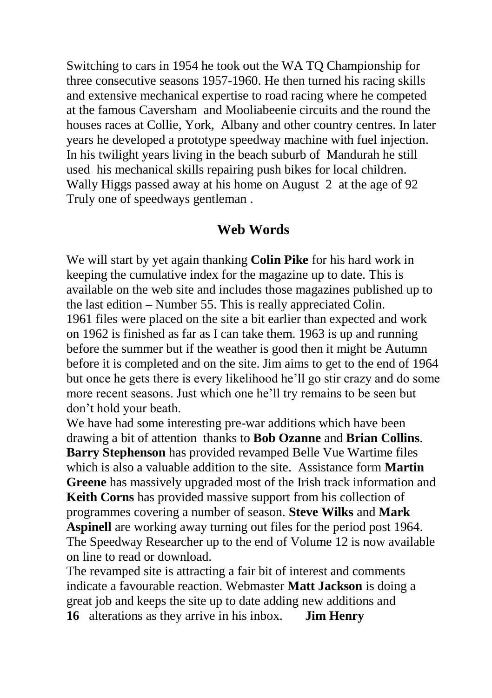Switching to cars in 1954 he took out the WA TQ Championship for three consecutive seasons 1957-1960. He then turned his racing skills and extensive mechanical expertise to road racing where he competed at the famous Caversham and Mooliabeenie circuits and the round the houses races at Collie, York, Albany and other country centres. In later years he developed a prototype speedway machine with fuel injection. In his twilight years living in the beach suburb of Mandurah he still used his mechanical skills repairing push bikes for local children. Wally Higgs passed away at his home on August 2 at the age of 92 Truly one of speedways gentleman .

### **Web Words**

We will start by yet again thanking **Colin Pike** for his hard work in keeping the cumulative index for the magazine up to date. This is available on the web site and includes those magazines published up to the last edition – Number 55. This is really appreciated Colin. 1961 files were placed on the site a bit earlier than expected and work on 1962 is finished as far as I can take them. 1963 is up and running before the summer but if the weather is good then it might be Autumn before it is completed and on the site. Jim aims to get to the end of 1964 but once he gets there is every likelihood he'll go stir crazy and do some more recent seasons. Just which one he'll try remains to be seen but don't hold your beath.

We have had some interesting pre-war additions which have been drawing a bit of attention thanks to **Bob Ozanne** and **Brian Collins**. **Barry Stephenson** has provided revamped Belle Vue Wartime files which is also a valuable addition to the site. Assistance form **Martin Greene** has massively upgraded most of the Irish track information and **Keith Corns** has provided massive support from his collection of programmes covering a number of season. **Steve Wilks** and **Mark Aspinell** are working away turning out files for the period post 1964. The Speedway Researcher up to the end of Volume 12 is now available on line to read or download.

The revamped site is attracting a fair bit of interest and comments indicate a favourable reaction. Webmaster **Matt Jackson** is doing a great job and keeps the site up to date adding new additions and **16** alterations as they arrive in his inbox. **Jim Henry**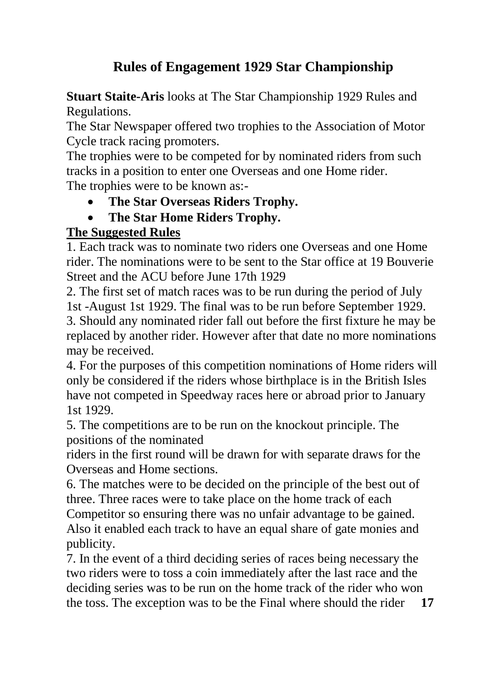# **Rules of Engagement 1929 Star Championship**

**Stuart Staite-Aris** looks at The Star Championship 1929 Rules and Regulations.

The Star Newspaper offered two trophies to the Association of Motor Cycle track racing promoters.

The trophies were to be competed for by nominated riders from such tracks in a position to enter one Overseas and one Home rider.

The trophies were to be known as:-

- **The Star Overseas Riders Trophy.**
- **The Star Home Riders Trophy.**

### **The Suggested Rules**

1. Each track was to nominate two riders one Overseas and one Home rider. The nominations were to be sent to the Star office at 19 Bouverie Street and the ACU before June 17th 1929

2. The first set of match races was to be run during the period of July 1st -August 1st 1929. The final was to be run before September 1929. 3. Should any nominated rider fall out before the first fixture he may be replaced by another rider. However after that date no more nominations may be received.

4. For the purposes of this competition nominations of Home riders will only be considered if the riders whose birthplace is in the British Isles have not competed in Speedway races here or abroad prior to January 1st 1929.

5. The competitions are to be run on the knockout principle. The positions of the nominated

riders in the first round will be drawn for with separate draws for the Overseas and Home sections.

6. The matches were to be decided on the principle of the best out of three. Three races were to take place on the home track of each Competitor so ensuring there was no unfair advantage to be gained. Also it enabled each track to have an equal share of gate monies and publicity.

7. In the event of a third deciding series of races being necessary the two riders were to toss a coin immediately after the last race and the deciding series was to be run on the home track of the rider who won the toss. The exception was to be the Final where should the rider **17**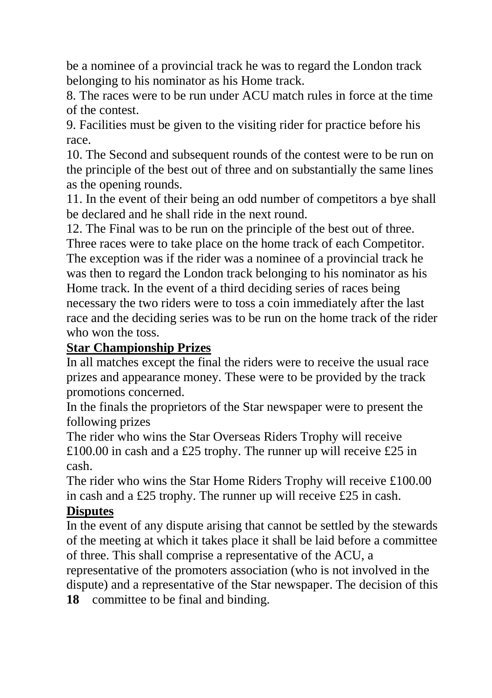be a nominee of a provincial track he was to regard the London track belonging to his nominator as his Home track.

8. The races were to be run under ACU match rules in force at the time of the contest.

9. Facilities must be given to the visiting rider for practice before his race.

10. The Second and subsequent rounds of the contest were to be run on the principle of the best out of three and on substantially the same lines as the opening rounds.

11. In the event of their being an odd number of competitors a bye shall be declared and he shall ride in the next round.

12. The Final was to be run on the principle of the best out of three.

Three races were to take place on the home track of each Competitor. The exception was if the rider was a nominee of a provincial track he was then to regard the London track belonging to his nominator as his Home track. In the event of a third deciding series of races being necessary the two riders were to toss a coin immediately after the last race and the deciding series was to be run on the home track of the rider who won the toss.

#### **Star Championship Prizes**

In all matches except the final the riders were to receive the usual race prizes and appearance money. These were to be provided by the track promotions concerned.

In the finals the proprietors of the Star newspaper were to present the following prizes

The rider who wins the Star Overseas Riders Trophy will receive £100.00 in cash and a £25 trophy. The runner up will receive £25 in cash.

The rider who wins the Star Home Riders Trophy will receive £100.00 in cash and a £25 trophy. The runner up will receive £25 in cash.

### **Disputes**

In the event of any dispute arising that cannot be settled by the stewards of the meeting at which it takes place it shall be laid before a committee of three. This shall comprise a representative of the ACU, a

representative of the promoters association (who is not involved in the dispute) and a representative of the Star newspaper. The decision of this

**18** committee to be final and binding.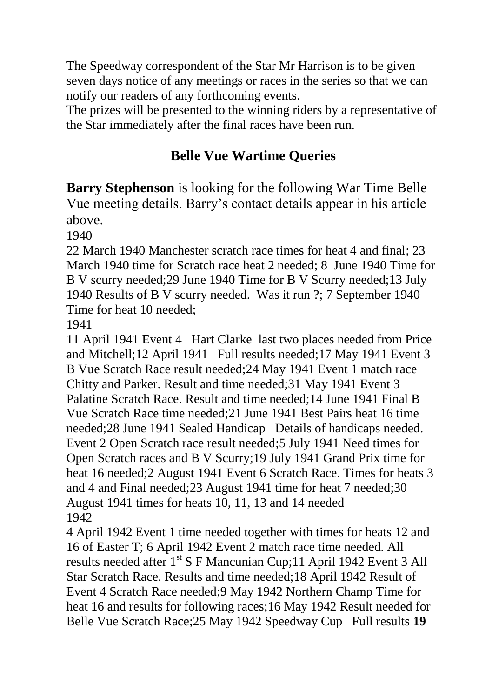The Speedway correspondent of the Star Mr Harrison is to be given seven days notice of any meetings or races in the series so that we can notify our readers of any forthcoming events.

The prizes will be presented to the winning riders by a representative of the Star immediately after the final races have been run.

## **Belle Vue Wartime Queries**

**Barry Stephenson** is looking for the following War Time Belle Vue meeting details. Barry's contact details appear in his article above.

1940

22 March 1940 Manchester scratch race times for heat 4 and final; 23 March 1940 time for Scratch race heat 2 needed; 8 June 1940 Time for B V scurry needed;29 June 1940 Time for B V Scurry needed;13 July 1940 Results of B V scurry needed. Was it run ?; 7 September 1940 Time for heat 10 needed;

1941

11 April 1941 Event 4 Hart Clarke last two places needed from Price and Mitchell;12 April 1941 Full results needed;17 May 1941 Event 3 B Vue Scratch Race result needed;24 May 1941 Event 1 match race Chitty and Parker. Result and time needed;31 May 1941 Event 3 Palatine Scratch Race. Result and time needed;14 June 1941 Final B Vue Scratch Race time needed;21 June 1941 Best Pairs heat 16 time needed;28 June 1941 Sealed Handicap Details of handicaps needed. Event 2 Open Scratch race result needed;5 July 1941 Need times for Open Scratch races and B V Scurry;19 July 1941 Grand Prix time for heat 16 needed;2 August 1941 Event 6 Scratch Race. Times for heats 3 and 4 and Final needed;23 August 1941 time for heat 7 needed;30 August 1941 times for heats 10, 11, 13 and 14 needed 1942

4 April 1942 Event 1 time needed together with times for heats 12 and 16 of Easter T; 6 April 1942 Event 2 match race time needed. All results needed after 1<sup>st</sup> S F Mancunian Cup;11 April 1942 Event 3 All Star Scratch Race. Results and time needed;18 April 1942 Result of Event 4 Scratch Race needed;9 May 1942 Northern Champ Time for heat 16 and results for following races;16 May 1942 Result needed for Belle Vue Scratch Race;25 May 1942 Speedway Cup Full results **19**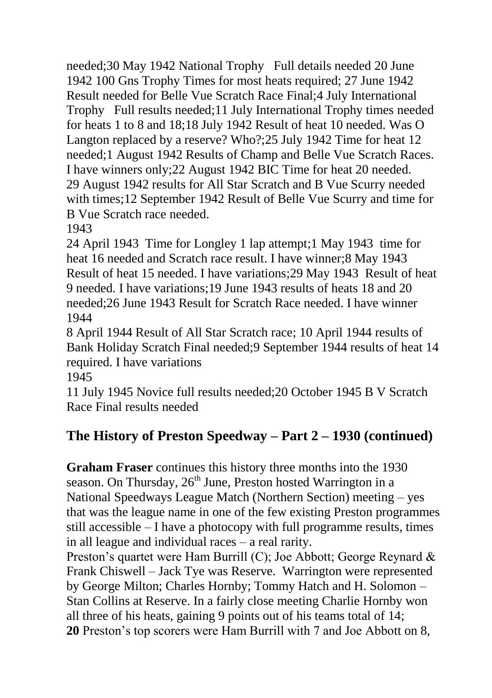needed;30 May 1942 National Trophy Full details needed 20 June 1942 100 Gns Trophy Times for most heats required; 27 June 1942 Result needed for Belle Vue Scratch Race Final;4 July International Trophy Full results needed;11 July International Trophy times needed for heats 1 to 8 and 18;18 July 1942 Result of heat 10 needed. Was O Langton replaced by a reserve? Who?;25 July 1942 Time for heat 12 needed;1 August 1942 Results of Champ and Belle Vue Scratch Races. I have winners only;22 August 1942 BIC Time for heat 20 needed. 29 August 1942 results for All Star Scratch and B Vue Scurry needed with times;12 September 1942 Result of Belle Vue Scurry and time for B Vue Scratch race needed.

1943

24 April 1943 Time for Longley 1 lap attempt;1 May 1943 time for heat 16 needed and Scratch race result. I have winner;8 May 1943 Result of heat 15 needed. I have variations;29 May 1943 Result of heat 9 needed. I have variations;19 June 1943 results of heats 18 and 20 needed;26 June 1943 Result for Scratch Race needed. I have winner 1944

8 April 1944 Result of All Star Scratch race; 10 April 1944 results of Bank Holiday Scratch Final needed;9 September 1944 results of heat 14 required. I have variations

1945

11 July 1945 Novice full results needed;20 October 1945 B V Scratch Race Final results needed

# **The History of Preston Speedway – Part 2 – 1930 (continued)**

**Graham Fraser** continues this history three months into the 1930 season. On Thursday,  $26<sup>th</sup>$  June, Preston hosted Warrington in a National Speedways League Match (Northern Section) meeting – yes that was the league name in one of the few existing Preston programmes still accessible – I have a photocopy with full programme results, times in all league and individual races – a real rarity.

Preston's quartet were Ham Burrill (C); Joe Abbott; George Reynard & Frank Chiswell – Jack Tye was Reserve. Warrington were represented by George Milton; Charles Hornby; Tommy Hatch and H. Solomon – Stan Collins at Reserve. In a fairly close meeting Charlie Hornby won all three of his heats, gaining 9 points out of his teams total of 14; **20** Preston's top scorers were Ham Burrill with 7 and Joe Abbott on 8,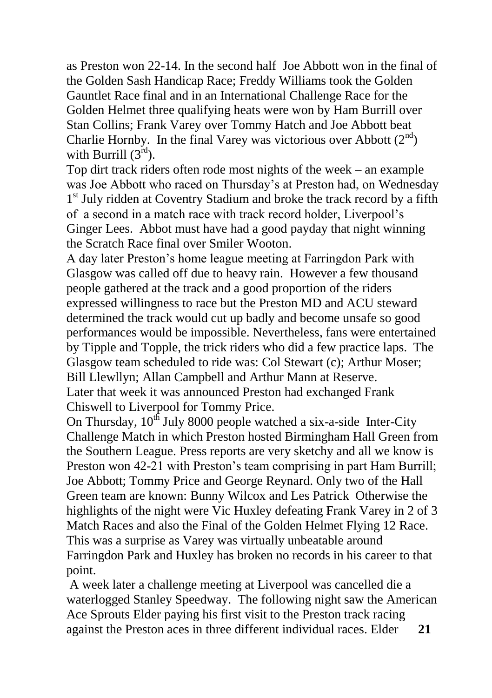as Preston won 22-14. In the second half Joe Abbott won in the final of the Golden Sash Handicap Race; Freddy Williams took the Golden Gauntlet Race final and in an International Challenge Race for the Golden Helmet three qualifying heats were won by Ham Burrill over Stan Collins; Frank Varey over Tommy Hatch and Joe Abbott beat Charlie Hornby. In the final Varey was victorious over Abbott  $(2^{nd})$ with Burrill  $(3<sup>rd</sup>)$ .

Top dirt track riders often rode most nights of the week – an example was Joe Abbott who raced on Thursday's at Preston had, on Wednesday 1<sup>st</sup> July ridden at Coventry Stadium and broke the track record by a fifth of a second in a match race with track record holder, Liverpool's Ginger Lees. Abbot must have had a good payday that night winning the Scratch Race final over Smiler Wooton.

A day later Preston's home league meeting at Farringdon Park with Glasgow was called off due to heavy rain. However a few thousand people gathered at the track and a good proportion of the riders expressed willingness to race but the Preston MD and ACU steward determined the track would cut up badly and become unsafe so good performances would be impossible. Nevertheless, fans were entertained by Tipple and Topple, the trick riders who did a few practice laps. The Glasgow team scheduled to ride was: Col Stewart (c); Arthur Moser; Bill Llewllyn; Allan Campbell and Arthur Mann at Reserve. Later that week it was announced Preston had exchanged Frank Chiswell to Liverpool for Tommy Price.

On Thursday,  $10^{th}$  July 8000 people watched a six-a-side Inter-City Challenge Match in which Preston hosted Birmingham Hall Green from the Southern League. Press reports are very sketchy and all we know is Preston won 42-21 with Preston's team comprising in part Ham Burrill; Joe Abbott; Tommy Price and George Reynard. Only two of the Hall Green team are known: Bunny Wilcox and Les Patrick Otherwise the highlights of the night were Vic Huxley defeating Frank Varey in 2 of 3 Match Races and also the Final of the Golden Helmet Flying 12 Race. This was a surprise as Varey was virtually unbeatable around Farringdon Park and Huxley has broken no records in his career to that point.

A week later a challenge meeting at Liverpool was cancelled die a waterlogged Stanley Speedway. The following night saw the American Ace Sprouts Elder paying his first visit to the Preston track racing against the Preston aces in three different individual races. Elder **21**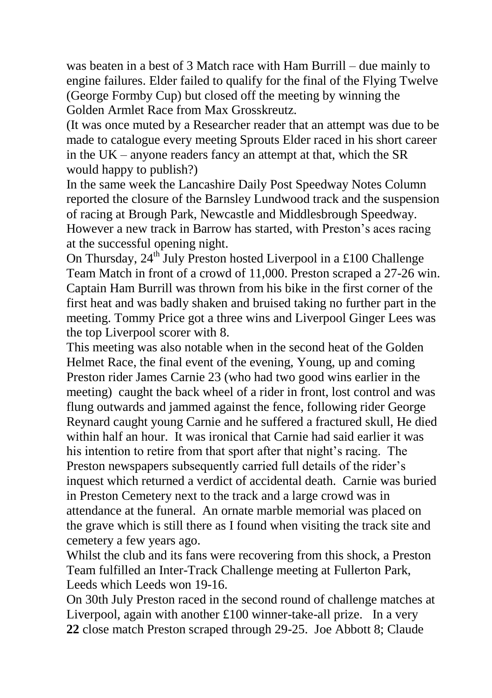was beaten in a best of 3 Match race with Ham Burrill – due mainly to engine failures. Elder failed to qualify for the final of the Flying Twelve (George Formby Cup) but closed off the meeting by winning the Golden Armlet Race from Max Grosskreutz.

(It was once muted by a Researcher reader that an attempt was due to be made to catalogue every meeting Sprouts Elder raced in his short career in the UK – anyone readers fancy an attempt at that, which the SR would happy to publish?)

In the same week the Lancashire Daily Post Speedway Notes Column reported the closure of the Barnsley Lundwood track and the suspension of racing at Brough Park, Newcastle and Middlesbrough Speedway. However a new track in Barrow has started, with Preston's aces racing at the successful opening night.

On Thursday,  $24^{\text{th}}$  July Preston hosted Liverpool in a £100 Challenge Team Match in front of a crowd of 11,000. Preston scraped a 27-26 win. Captain Ham Burrill was thrown from his bike in the first corner of the first heat and was badly shaken and bruised taking no further part in the meeting. Tommy Price got a three wins and Liverpool Ginger Lees was the top Liverpool scorer with 8.

This meeting was also notable when in the second heat of the Golden Helmet Race, the final event of the evening, Young, up and coming Preston rider James Carnie 23 (who had two good wins earlier in the meeting) caught the back wheel of a rider in front, lost control and was flung outwards and jammed against the fence, following rider George Reynard caught young Carnie and he suffered a fractured skull, He died within half an hour. It was ironical that Carnie had said earlier it was his intention to retire from that sport after that night's racing. The Preston newspapers subsequently carried full details of the rider's inquest which returned a verdict of accidental death. Carnie was buried in Preston Cemetery next to the track and a large crowd was in attendance at the funeral. An ornate marble memorial was placed on the grave which is still there as I found when visiting the track site and cemetery a few years ago.

Whilst the club and its fans were recovering from this shock, a Preston Team fulfilled an Inter-Track Challenge meeting at Fullerton Park, Leeds which Leeds won 19-16.

On 30th July Preston raced in the second round of challenge matches at Liverpool, again with another £100 winner-take-all prize. In a very **22** close match Preston scraped through 29-25. Joe Abbott 8; Claude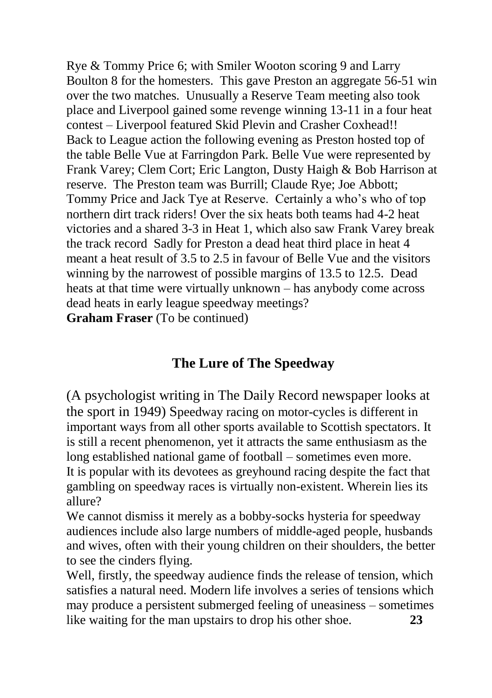Rye & Tommy Price 6; with Smiler Wooton scoring 9 and Larry Boulton 8 for the homesters. This gave Preston an aggregate 56-51 win over the two matches. Unusually a Reserve Team meeting also took place and Liverpool gained some revenge winning 13-11 in a four heat contest – Liverpool featured Skid Plevin and Crasher Coxhead!! Back to League action the following evening as Preston hosted top of the table Belle Vue at Farringdon Park. Belle Vue were represented by Frank Varey; Clem Cort; Eric Langton, Dusty Haigh & Bob Harrison at reserve. The Preston team was Burrill; Claude Rye; Joe Abbott; Tommy Price and Jack Tye at Reserve. Certainly a who's who of top northern dirt track riders! Over the six heats both teams had 4-2 heat victories and a shared 3-3 in Heat 1, which also saw Frank Varey break the track record Sadly for Preston a dead heat third place in heat 4 meant a heat result of 3.5 to 2.5 in favour of Belle Vue and the visitors winning by the narrowest of possible margins of 13.5 to 12.5. Dead heats at that time were virtually unknown – has anybody come across dead heats in early league speedway meetings?

**Graham Fraser** (To be continued)

### **The Lure of The Speedway**

(A psychologist writing in The Daily Record newspaper looks at the sport in 1949) Speedway racing on motor-cycles is different in important ways from all other sports available to Scottish spectators. It is still a recent phenomenon, yet it attracts the same enthusiasm as the long established national game of football – sometimes even more. It is popular with its devotees as greyhound racing despite the fact that gambling on speedway races is virtually non-existent. Wherein lies its allure?

We cannot dismiss it merely as a bobby-socks hysteria for speedway audiences include also large numbers of middle-aged people, husbands and wives, often with their young children on their shoulders, the better to see the cinders flying.

Well, firstly, the speedway audience finds the release of tension, which satisfies a natural need. Modern life involves a series of tensions which may produce a persistent submerged feeling of uneasiness – sometimes like waiting for the man upstairs to drop his other shoe. **23**